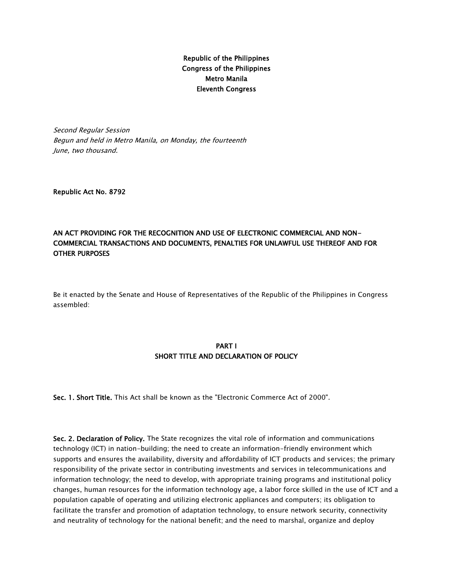## Republic of the Philippines Congress of the Philippines Metro Manila Eleventh Congress

Second Regular Session Begun and held in Metro Manila, on Monday, the fourteenth June, two thousand.

Republic Act No. 8792

#### AN ACT PROVIDING FOR THE RECOGNITION AND USE OF ELECTRONIC COMMERCIAL AND NON-COMMERCIAL TRANSACTIONS AND DOCUMENTS, PENALTIES FOR UNLAWFUL USE THEREOF AND FOR OTHER PURPOSES

Be it enacted by the Senate and House of Representatives of the Republic of the Philippines in Congress assembled:

#### PART I SHORT TITLE AND DECLARATION OF POLICY

Sec. 1. Short Title. This Act shall be known as the "Electronic Commerce Act of 2000".

Sec. 2. Declaration of Policy. The State recognizes the vital role of information and communications technology (ICT) in nation-building; the need to create an information-friendly environment which supports and ensures the availability, diversity and affordability of ICT products and services; the primary responsibility of the private sector in contributing investments and services in telecommunications and information technology; the need to develop, with appropriate training programs and institutional policy changes, human resources for the information technology age, a labor force skilled in the use of ICT and a population capable of operating and utilizing electronic appliances and computers; its obligation to facilitate the transfer and promotion of adaptation technology, to ensure network security, connectivity and neutrality of technology for the national benefit; and the need to marshal, organize and deploy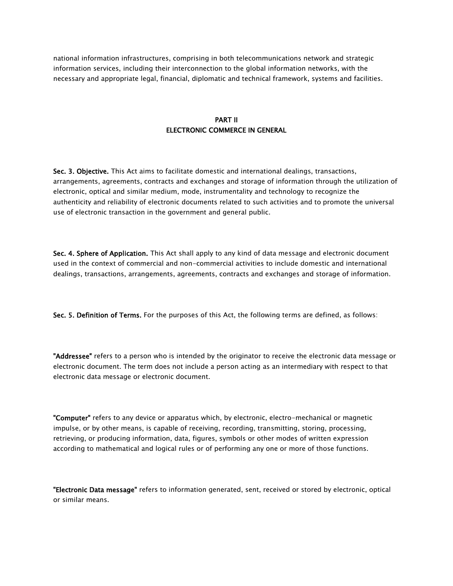national information infrastructures, comprising in both telecommunications network and strategic information services, including their interconnection to the global information networks, with the necessary and appropriate legal, financial, diplomatic and technical framework, systems and facilities.

#### PART II ELECTRONIC COMMERCE IN GENERAL

Sec. 3. Objective. This Act aims to facilitate domestic and international dealings, transactions, arrangements, agreements, contracts and exchanges and storage of information through the utilization of electronic, optical and similar medium, mode, instrumentality and technology to recognize the authenticity and reliability of electronic documents related to such activities and to promote the universal use of electronic transaction in the government and general public.

Sec. 4. Sphere of Application. This Act shall apply to any kind of data message and electronic document used in the context of commercial and non-commercial activities to include domestic and international dealings, transactions, arrangements, agreements, contracts and exchanges and storage of information.

Sec. 5. Definition of Terms. For the purposes of this Act, the following terms are defined, as follows:

"Addressee" refers to a person who is intended by the originator to receive the electronic data message or electronic document. The term does not include a person acting as an intermediary with respect to that electronic data message or electronic document.

"Computer" refers to any device or apparatus which, by electronic, electro-mechanical or magnetic impulse, or by other means, is capable of receiving, recording, transmitting, storing, processing, retrieving, or producing information, data, figures, symbols or other modes of written expression according to mathematical and logical rules or of performing any one or more of those functions.

"Electronic Data message" refers to information generated, sent, received or stored by electronic, optical or similar means.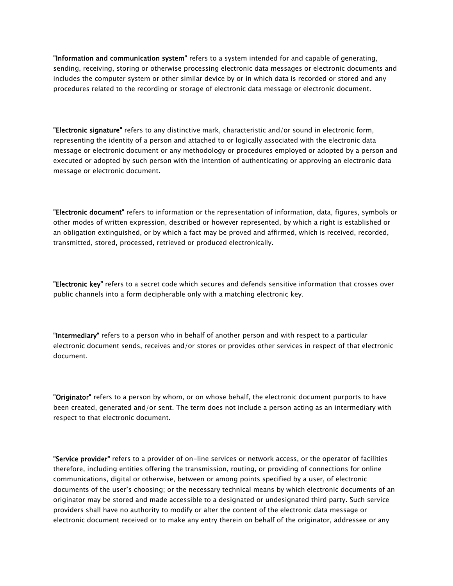"Information and communication system" refers to a system intended for and capable of generating, sending, receiving, storing or otherwise processing electronic data messages or electronic documents and includes the computer system or other similar device by or in which data is recorded or stored and any procedures related to the recording or storage of electronic data message or electronic document.

"Electronic signature" refers to any distinctive mark, characteristic and/or sound in electronic form, representing the identity of a person and attached to or logically associated with the electronic data message or electronic document or any methodology or procedures employed or adopted by a person and executed or adopted by such person with the intention of authenticating or approving an electronic data message or electronic document.

"Electronic document" refers to information or the representation of information, data, figures, symbols or other modes of written expression, described or however represented, by which a right is established or an obligation extinguished, or by which a fact may be proved and affirmed, which is received, recorded, transmitted, stored, processed, retrieved or produced electronically.

"Electronic key" refers to a secret code which secures and defends sensitive information that crosses over public channels into a form decipherable only with a matching electronic key.

"Intermediary" refers to a person who in behalf of another person and with respect to a particular electronic document sends, receives and/or stores or provides other services in respect of that electronic document.

"Originator" refers to a person by whom, or on whose behalf, the electronic document purports to have been created, generated and/or sent. The term does not include a person acting as an intermediary with respect to that electronic document.

"Service provider" refers to a provider of on-line services or network access, or the operator of facilities therefore, including entities offering the transmission, routing, or providing of connections for online communications, digital or otherwise, between or among points specified by a user, of electronic documents of the user's choosing; or the necessary technical means by which electronic documents of an originator may be stored and made accessible to a designated or undesignated third party. Such service providers shall have no authority to modify or alter the content of the electronic data message or electronic document received or to make any entry therein on behalf of the originator, addressee or any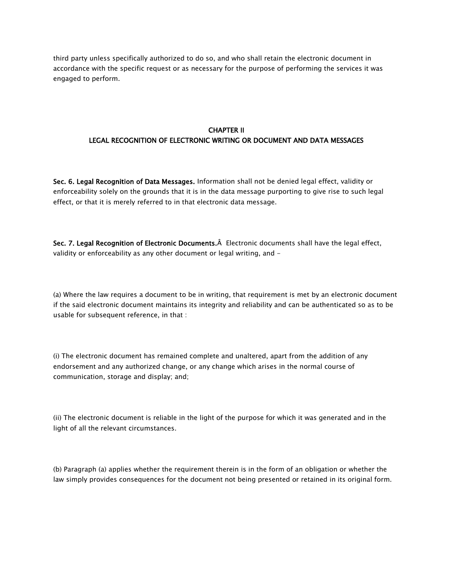third party unless specifically authorized to do so, and who shall retain the electronic document in accordance with the specific request or as necessary for the purpose of performing the services it was engaged to perform.

# CHAPTER II LEGAL RECOGNITION OF ELECTRONIC WRITING OR DOCUMENT AND DATA MESSAGES

Sec. 6. Legal Recognition of Data Messages. Information shall not be denied legal effect, validity or enforceability solely on the grounds that it is in the data message purporting to give rise to such legal effect, or that it is merely referred to in that electronic data message.

Sec. 7. Legal Recognition of Electronic Documents.Â Electronic documents shall have the legal effect, validity or enforceability as any other document or legal writing, and -

(a) Where the law requires a document to be in writing, that requirement is met by an electronic document if the said electronic document maintains its integrity and reliability and can be authenticated so as to be usable for subsequent reference, in that :

(i) The electronic document has remained complete and unaltered, apart from the addition of any endorsement and any authorized change, or any change which arises in the normal course of communication, storage and display; and;

(ii) The electronic document is reliable in the light of the purpose for which it was generated and in the light of all the relevant circumstances.

(b) Paragraph (a) applies whether the requirement therein is in the form of an obligation or whether the law simply provides consequences for the document not being presented or retained in its original form.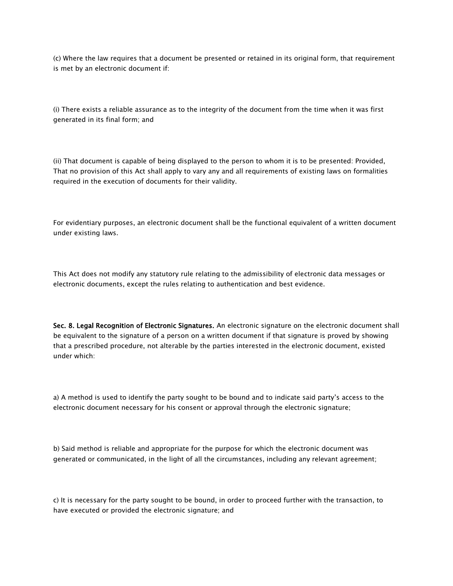(c) Where the law requires that a document be presented or retained in its original form, that requirement is met by an electronic document if:

(i) There exists a reliable assurance as to the integrity of the document from the time when it was first generated in its final form; and

(ii) That document is capable of being displayed to the person to whom it is to be presented: Provided, That no provision of this Act shall apply to vary any and all requirements of existing laws on formalities required in the execution of documents for their validity.

For evidentiary purposes, an electronic document shall be the functional equivalent of a written document under existing laws.

This Act does not modify any statutory rule relating to the admissibility of electronic data messages or electronic documents, except the rules relating to authentication and best evidence.

Sec. 8. Legal Recognition of Electronic Signatures. An electronic signature on the electronic document shall be equivalent to the signature of a person on a written document if that signature is proved by showing that a prescribed procedure, not alterable by the parties interested in the electronic document, existed under which:

a) A method is used to identify the party sought to be bound and to indicate said party's access to the electronic document necessary for his consent or approval through the electronic signature;

b) Said method is reliable and appropriate for the purpose for which the electronic document was generated or communicated, in the light of all the circumstances, including any relevant agreement;

c) It is necessary for the party sought to be bound, in order to proceed further with the transaction, to have executed or provided the electronic signature; and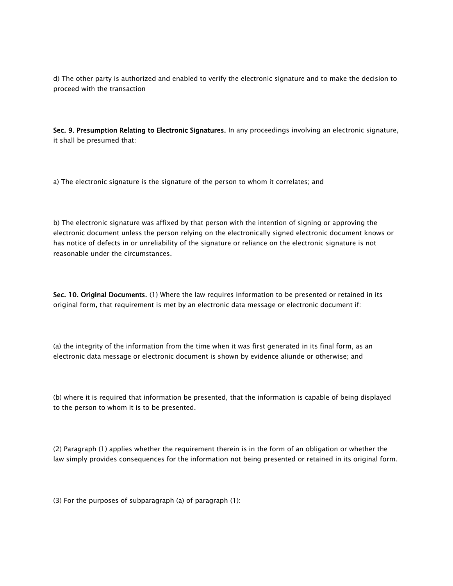d) The other party is authorized and enabled to verify the electronic signature and to make the decision to proceed with the transaction

Sec. 9. Presumption Relating to Electronic Signatures. In any proceedings involving an electronic signature, it shall be presumed that:

a) The electronic signature is the signature of the person to whom it correlates; and

b) The electronic signature was affixed by that person with the intention of signing or approving the electronic document unless the person relying on the electronically signed electronic document knows or has notice of defects in or unreliability of the signature or reliance on the electronic signature is not reasonable under the circumstances.

Sec. 10. Original Documents. (1) Where the law requires information to be presented or retained in its original form, that requirement is met by an electronic data message or electronic document if:

(a) the integrity of the information from the time when it was first generated in its final form, as an electronic data message or electronic document is shown by evidence aliunde or otherwise; and

(b) where it is required that information be presented, that the information is capable of being displayed to the person to whom it is to be presented.

(2) Paragraph (1) applies whether the requirement therein is in the form of an obligation or whether the law simply provides consequences for the information not being presented or retained in its original form.

(3) For the purposes of subparagraph (a) of paragraph (1):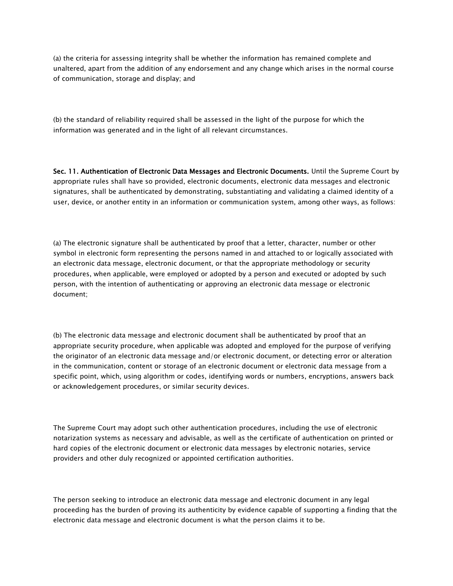(a) the criteria for assessing integrity shall be whether the information has remained complete and unaltered, apart from the addition of any endorsement and any change which arises in the normal course of communication, storage and display; and

(b) the standard of reliability required shall be assessed in the light of the purpose for which the information was generated and in the light of all relevant circumstances.

Sec. 11. Authentication of Electronic Data Messages and Electronic Documents. Until the Supreme Court by appropriate rules shall have so provided, electronic documents, electronic data messages and electronic signatures, shall be authenticated by demonstrating, substantiating and validating a claimed identity of a user, device, or another entity in an information or communication system, among other ways, as follows:

(a) The electronic signature shall be authenticated by proof that a letter, character, number or other symbol in electronic form representing the persons named in and attached to or logically associated with an electronic data message, electronic document, or that the appropriate methodology or security procedures, when applicable, were employed or adopted by a person and executed or adopted by such person, with the intention of authenticating or approving an electronic data message or electronic document;

(b) The electronic data message and electronic document shall be authenticated by proof that an appropriate security procedure, when applicable was adopted and employed for the purpose of verifying the originator of an electronic data message and/or electronic document, or detecting error or alteration in the communication, content or storage of an electronic document or electronic data message from a specific point, which, using algorithm or codes, identifying words or numbers, encryptions, answers back or acknowledgement procedures, or similar security devices.

The Supreme Court may adopt such other authentication procedures, including the use of electronic notarization systems as necessary and advisable, as well as the certificate of authentication on printed or hard copies of the electronic document or electronic data messages by electronic notaries, service providers and other duly recognized or appointed certification authorities.

The person seeking to introduce an electronic data message and electronic document in any legal proceeding has the burden of proving its authenticity by evidence capable of supporting a finding that the electronic data message and electronic document is what the person claims it to be.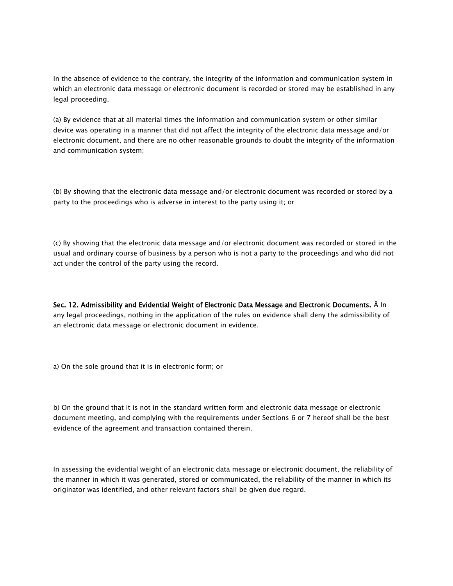In the absence of evidence to the contrary, the integrity of the information and communication system in which an electronic data message or electronic document is recorded or stored may be established in any legal proceeding.

(a) By evidence that at all material times the information and communication system or other similar device was operating in a manner that did not affect the integrity of the electronic data message and/or electronic document, and there are no other reasonable grounds to doubt the integrity of the information and communication system;

(b) By showing that the electronic data message and/or electronic document was recorded or stored by a party to the proceedings who is adverse in interest to the party using it; or

(c) By showing that the electronic data message and/or electronic document was recorded or stored in the usual and ordinary course of business by a person who is not a party to the proceedings and who did not act under the control of the party using the record.

Sec. 12. Admissibility and Evidential Weight of Electronic Data Message and Electronic Documents. Â In any legal proceedings, nothing in the application of the rules on evidence shall deny the admissibility of an electronic data message or electronic document in evidence.

a) On the sole ground that it is in electronic form; or

b) On the ground that it is not in the standard written form and electronic data message or electronic document meeting, and complying with the requirements under Sections 6 or 7 hereof shall be the best evidence of the agreement and transaction contained therein.

In assessing the evidential weight of an electronic data message or electronic document, the reliability of the manner in which it was generated, stored or communicated, the reliability of the manner in which its originator was identified, and other relevant factors shall be given due regard.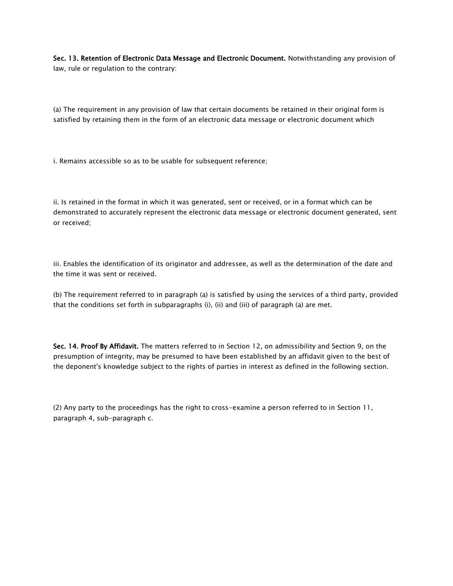Sec. 13. Retention of Electronic Data Message and Electronic Document. Notwithstanding any provision of law, rule or regulation to the contrary:

(a) The requirement in any provision of law that certain documents be retained in their original form is satisfied by retaining them in the form of an electronic data message or electronic document which

i. Remains accessible so as to be usable for subsequent reference;

ii. Is retained in the format in which it was generated, sent or received, or in a format which can be demonstrated to accurately represent the electronic data message or electronic document generated, sent or received;

iii. Enables the identification of its originator and addressee, as well as the determination of the date and the time it was sent or received.

(b) The requirement referred to in paragraph (a) is satisfied by using the services of a third party, provided that the conditions set forth in subparagraphs (i), (ii) and (iii) of paragraph (a) are met.

Sec. 14. Proof By Affidavit. The matters referred to in Section 12, on admissibility and Section 9, on the presumption of integrity, may be presumed to have been established by an affidavit given to the best of the deponent's knowledge subject to the rights of parties in interest as defined in the following section.

(2) Any party to the proceedings has the right to cross-examine a person referred to in Section 11, paragraph 4, sub-paragraph c.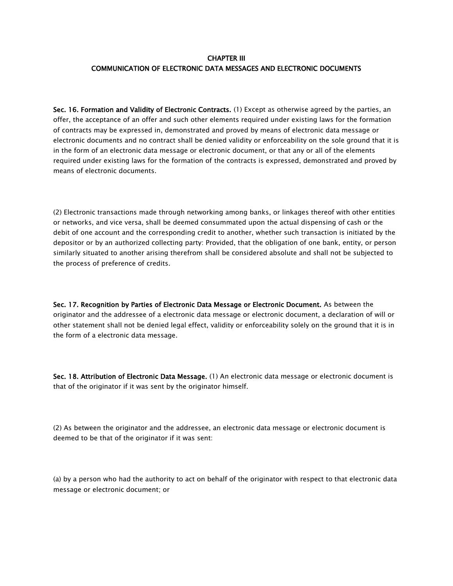#### CHAPTER III COMMUNICATION OF ELECTRONIC DATA MESSAGES AND ELECTRONIC DOCUMENTS

Sec. 16. Formation and Validity of Electronic Contracts. (1) Except as otherwise agreed by the parties, an offer, the acceptance of an offer and such other elements required under existing laws for the formation of contracts may be expressed in, demonstrated and proved by means of electronic data message or electronic documents and no contract shall be denied validity or enforceability on the sole ground that it is in the form of an electronic data message or electronic document, or that any or all of the elements required under existing laws for the formation of the contracts is expressed, demonstrated and proved by means of electronic documents.

(2) Electronic transactions made through networking among banks, or linkages thereof with other entities or networks, and vice versa, shall be deemed consummated upon the actual dispensing of cash or the debit of one account and the corresponding credit to another, whether such transaction is initiated by the depositor or by an authorized collecting party: Provided, that the obligation of one bank, entity, or person similarly situated to another arising therefrom shall be considered absolute and shall not be subjected to the process of preference of credits.

Sec. 17. Recognition by Parties of Electronic Data Message or Electronic Document. As between the originator and the addressee of a electronic data message or electronic document, a declaration of will or other statement shall not be denied legal effect, validity or enforceability solely on the ground that it is in the form of a electronic data message.

Sec. 18. Attribution of Electronic Data Message. (1) An electronic data message or electronic document is that of the originator if it was sent by the originator himself.

(2) As between the originator and the addressee, an electronic data message or electronic document is deemed to be that of the originator if it was sent:

(a) by a person who had the authority to act on behalf of the originator with respect to that electronic data message or electronic document; or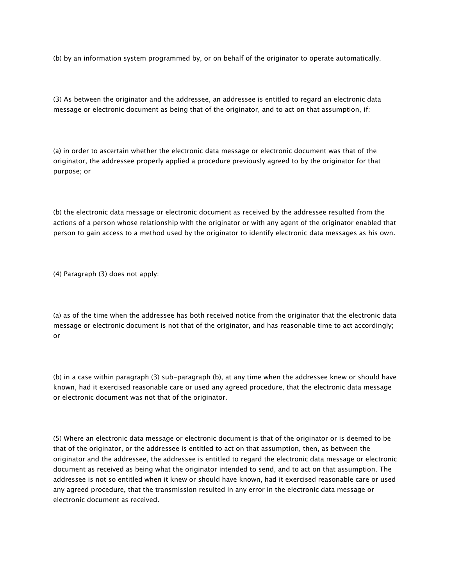(b) by an information system programmed by, or on behalf of the originator to operate automatically.

(3) As between the originator and the addressee, an addressee is entitled to regard an electronic data message or electronic document as being that of the originator, and to act on that assumption, if:

(a) in order to ascertain whether the electronic data message or electronic document was that of the originator, the addressee properly applied a procedure previously agreed to by the originator for that purpose; or

(b) the electronic data message or electronic document as received by the addressee resulted from the actions of a person whose relationship with the originator or with any agent of the originator enabled that person to gain access to a method used by the originator to identify electronic data messages as his own.

(4) Paragraph (3) does not apply:

(a) as of the time when the addressee has both received notice from the originator that the electronic data message or electronic document is not that of the originator, and has reasonable time to act accordingly; or

(b) in a case within paragraph (3) sub-paragraph (b), at any time when the addressee knew or should have known, had it exercised reasonable care or used any agreed procedure, that the electronic data message or electronic document was not that of the originator.

(5) Where an electronic data message or electronic document is that of the originator or is deemed to be that of the originator, or the addressee is entitled to act on that assumption, then, as between the originator and the addressee, the addressee is entitled to regard the electronic data message or electronic document as received as being what the originator intended to send, and to act on that assumption. The addressee is not so entitled when it knew or should have known, had it exercised reasonable care or used any agreed procedure, that the transmission resulted in any error in the electronic data message or electronic document as received.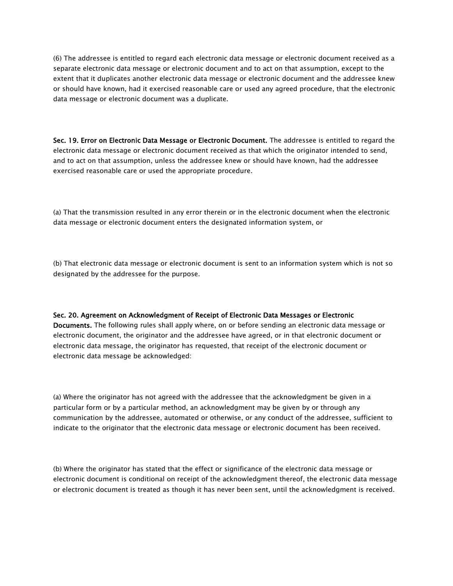(6) The addressee is entitled to regard each electronic data message or electronic document received as a separate electronic data message or electronic document and to act on that assumption, except to the extent that it duplicates another electronic data message or electronic document and the addressee knew or should have known, had it exercised reasonable care or used any agreed procedure, that the electronic data message or electronic document was a duplicate.

Sec. 19. Error on Electronic Data Message or Electronic Document. The addressee is entitled to regard the electronic data message or electronic document received as that which the originator intended to send, and to act on that assumption, unless the addressee knew or should have known, had the addressee exercised reasonable care or used the appropriate procedure.

(a) That the transmission resulted in any error therein or in the electronic document when the electronic data message or electronic document enters the designated information system, or

(b) That electronic data message or electronic document is sent to an information system which is not so designated by the addressee for the purpose.

## Sec. 20. Agreement on Acknowledgment of Receipt of Electronic Data Messages or Electronic Documents. The following rules shall apply where, on or before sending an electronic data message or electronic document, the originator and the addressee have agreed, or in that electronic document or electronic data message, the originator has requested, that receipt of the electronic document or electronic data message be acknowledged:

(a) Where the originator has not agreed with the addressee that the acknowledgment be given in a particular form or by a particular method, an acknowledgment may be given by or through any communication by the addressee, automated or otherwise, or any conduct of the addressee, sufficient to indicate to the originator that the electronic data message or electronic document has been received.

(b) Where the originator has stated that the effect or significance of the electronic data message or electronic document is conditional on receipt of the acknowledgment thereof, the electronic data message or electronic document is treated as though it has never been sent, until the acknowledgment is received.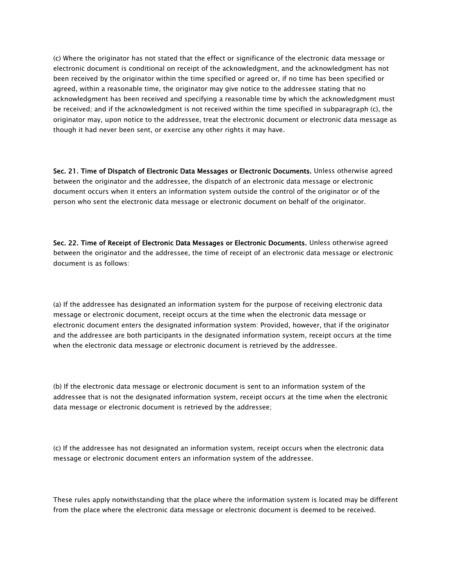(c) Where the originator has not stated that the effect or significance of the electronic data message or electronic document is conditional on receipt of the acknowledgment, and the acknowledgment has not been received by the originator within the time specified or agreed or, if no time has been specified or agreed, within a reasonable time, the originator may give notice to the addressee stating that no acknowledgment has been received and specifying a reasonable time by which the acknowledgment must be received; and if the acknowledgment is not received within the time specified in subparagraph (c), the originator may, upon notice to the addressee, treat the electronic document or electronic data message as though it had never been sent, or exercise any other rights it may have.

Sec. 21. Time of Dispatch of Electronic Data Messages or Electronic Documents. Unless otherwise agreed between the originator and the addressee, the dispatch of an electronic data message or electronic document occurs when it enters an information system outside the control of the originator or of the person who sent the electronic data message or electronic document on behalf of the originator.

Sec. 22. Time of Receipt of Electronic Data Messages or Electronic Documents. Unless otherwise agreed between the originator and the addressee, the time of receipt of an electronic data message or electronic document is as follows:

(a) If the addressee has designated an information system for the purpose of receiving electronic data message or electronic document, receipt occurs at the time when the electronic data message or electronic document enters the designated information system: Provided, however, that if the originator and the addressee are both participants in the designated information system, receipt occurs at the time when the electronic data message or electronic document is retrieved by the addressee.

(b) If the electronic data message or electronic document is sent to an information system of the addressee that is not the designated information system, receipt occurs at the time when the electronic data message or electronic document is retrieved by the addressee;

(c) If the addressee has not designated an information system, receipt occurs when the electronic data message or electronic document enters an information system of the addressee.

These rules apply notwithstanding that the place where the information system is located may be different from the place where the electronic data message or electronic document is deemed to be received.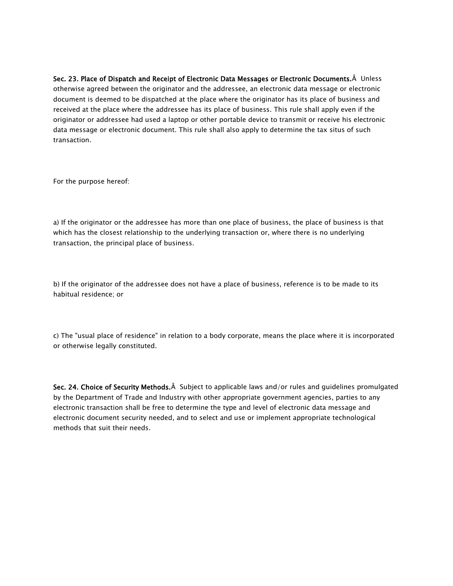Sec. 23. Place of Dispatch and Receipt of Electronic Data Messages or Electronic Documents.Â Unless otherwise agreed between the originator and the addressee, an electronic data message or electronic document is deemed to be dispatched at the place where the originator has its place of business and received at the place where the addressee has its place of business. This rule shall apply even if the originator or addressee had used a laptop or other portable device to transmit or receive his electronic data message or electronic document. This rule shall also apply to determine the tax situs of such transaction.

For the purpose hereof:

a) If the originator or the addressee has more than one place of business, the place of business is that which has the closest relationship to the underlying transaction or, where there is no underlying transaction, the principal place of business.

b) If the originator of the addressee does not have a place of business, reference is to be made to its habitual residence; or

c) The "usual place of residence" in relation to a body corporate, means the place where it is incorporated or otherwise legally constituted.

Sec. 24. Choice of Security Methods. $\hat{A}$  Subject to applicable laws and/or rules and guidelines promulgated by the Department of Trade and Industry with other appropriate government agencies, parties to any electronic transaction shall be free to determine the type and level of electronic data message and electronic document security needed, and to select and use or implement appropriate technological methods that suit their needs.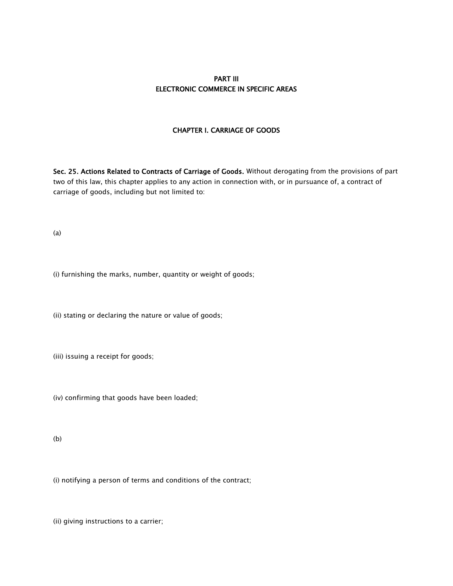#### PART III ELECTRONIC COMMERCE IN SPECIFIC AREAS

#### CHAPTER I. CARRIAGE OF GOODS

Sec. 25. Actions Related to Contracts of Carriage of Goods. Without derogating from the provisions of part two of this law, this chapter applies to any action in connection with, or in pursuance of, a contract of carriage of goods, including but not limited to:

(a)

(i) furnishing the marks, number, quantity or weight of goods;

(ii) stating or declaring the nature or value of goods;

(iii) issuing a receipt for goods;

(iv) confirming that goods have been loaded;

(b)

(i) notifying a person of terms and conditions of the contract;

(ii) giving instructions to a carrier;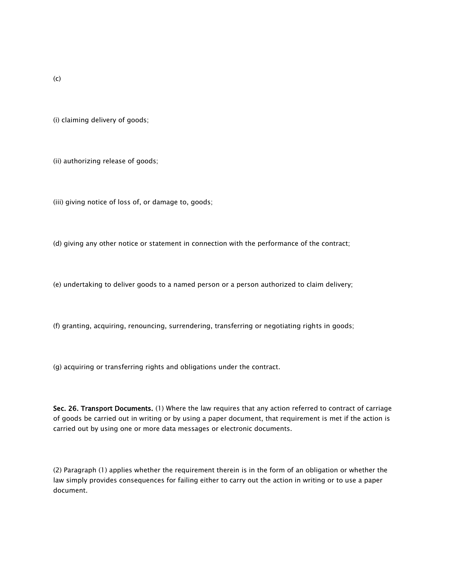(i) claiming delivery of goods;

(ii) authorizing release of goods;

(iii) giving notice of loss of, or damage to, goods;

(d) giving any other notice or statement in connection with the performance of the contract;

(e) undertaking to deliver goods to a named person or a person authorized to claim delivery;

(f) granting, acquiring, renouncing, surrendering, transferring or negotiating rights in goods;

(g) acquiring or transferring rights and obligations under the contract.

Sec. 26. Transport Documents. (1) Where the law requires that any action referred to contract of carriage of goods be carried out in writing or by using a paper document, that requirement is met if the action is carried out by using one or more data messages or electronic documents.

(2) Paragraph (1) applies whether the requirement therein is in the form of an obligation or whether the law simply provides consequences for failing either to carry out the action in writing or to use a paper document.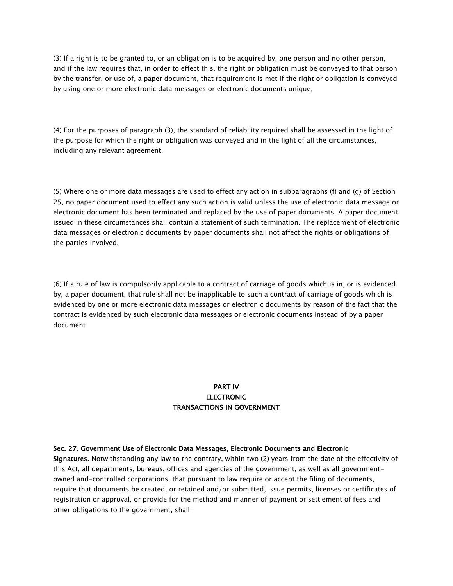(3) If a right is to be granted to, or an obligation is to be acquired by, one person and no other person, and if the law requires that, in order to effect this, the right or obligation must be conveyed to that person by the transfer, or use of, a paper document, that requirement is met if the right or obligation is conveyed by using one or more electronic data messages or electronic documents unique;

(4) For the purposes of paragraph (3), the standard of reliability required shall be assessed in the light of the purpose for which the right or obligation was conveyed and in the light of all the circumstances, including any relevant agreement.

(5) Where one or more data messages are used to effect any action in subparagraphs (f) and (g) of Section 25, no paper document used to effect any such action is valid unless the use of electronic data message or electronic document has been terminated and replaced by the use of paper documents. A paper document issued in these circumstances shall contain a statement of such termination. The replacement of electronic data messages or electronic documents by paper documents shall not affect the rights or obligations of the parties involved.

(6) If a rule of law is compulsorily applicable to a contract of carriage of goods which is in, or is evidenced by, a paper document, that rule shall not be inapplicable to such a contract of carriage of goods which is evidenced by one or more electronic data messages or electronic documents by reason of the fact that the contract is evidenced by such electronic data messages or electronic documents instead of by a paper document.

## PART IV **ELECTRONIC** TRANSACTIONS IN GOVERNMENT

#### Sec. 27. Government Use of Electronic Data Messages, Electronic Documents and Electronic

Signatures. Notwithstanding any law to the contrary, within two (2) years from the date of the effectivity of this Act, all departments, bureaus, offices and agencies of the government, as well as all governmentowned and-controlled corporations, that pursuant to law require or accept the filing of documents, require that documents be created, or retained and/or submitted, issue permits, licenses or certificates of registration or approval, or provide for the method and manner of payment or settlement of fees and other obligations to the government, shall :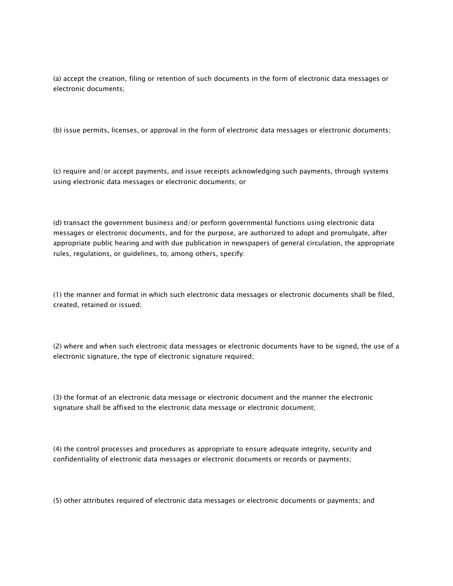(a) accept the creation, filing or retention of such documents in the form of electronic data messages or electronic documents;

(b) issue permits, licenses, or approval in the form of electronic data messages or electronic documents;

(c) require and/or accept payments, and issue receipts acknowledging such payments, through systems using electronic data messages or electronic documents; or

(d) transact the government business and/or perform governmental functions using electronic data messages or electronic documents, and for the purpose, are authorized to adopt and promulgate, after appropriate public hearing and with due publication in newspapers of general circulation, the appropriate rules, regulations, or guidelines, to, among others, specify:

(1) the manner and format in which such electronic data messages or electronic documents shall be filed, created, retained or issued;

(2) where and when such electronic data messages or electronic documents have to be signed, the use of a electronic signature, the type of electronic signature required;

(3) the format of an electronic data message or electronic document and the manner the electronic signature shall be affixed to the electronic data message or electronic document;

(4) the control processes and procedures as appropriate to ensure adequate integrity, security and confidentiality of electronic data messages or electronic documents or records or payments;

(5) other attributes required of electronic data messages or electronic documents or payments; and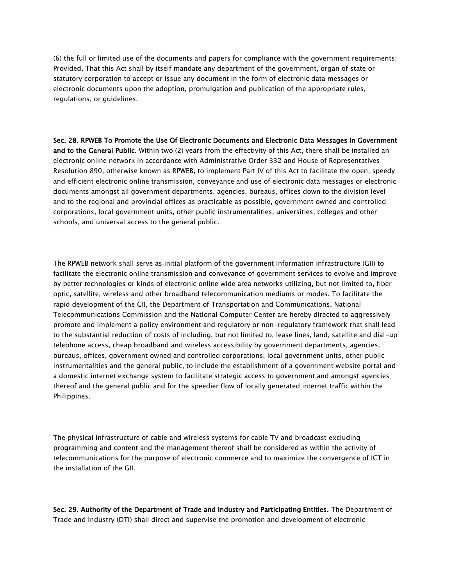(6) the full or limited use of the documents and papers for compliance with the government requirements: Provided, That this Act shall by itself mandate any department of the government, organ of state or statutory corporation to accept or issue any document in the form of electronic data messages or electronic documents upon the adoption, promulgation and publication of the appropriate rules, regulations, or guidelines.

Sec. 28. RPWEB To Promote the Use Of Electronic Documents and Electronic Data Messages In Government and to the General Public. Within two (2) years from the effectivity of this Act, there shall be installed an electronic online network in accordance with Administrative Order 332 and House of Representatives Resolution 890, otherwise known as RPWEB, to implement Part IV of this Act to facilitate the open, speedy and efficient electronic online transmission, conveyance and use of electronic data messages or electronic documents amongst all government departments, agencies, bureaus, offices down to the division level and to the regional and provincial offices as practicable as possible, government owned and controlled corporations, local government units, other public instrumentalities, universities, colleges and other schools, and universal access to the general public.

The RPWEB network shall serve as initial platform of the government information infrastructure (GII) to facilitate the electronic online transmission and conveyance of government services to evolve and improve by better technologies or kinds of electronic online wide area networks utilizing, but not limited to, fiber optic, satellite, wireless and other broadband telecommunication mediums or modes. To facilitate the rapid development of the GII, the Department of Transportation and Communications, National Telecommunications Commission and the National Computer Center are hereby directed to aggressively promote and implement a policy environment and regulatory or non-regulatory framework that shall lead to the substantial reduction of costs of including, but not limited to, lease lines, land, satellite and dial-up telephone access, cheap broadband and wireless accessibility by government departments, agencies, bureaus, offices, government owned and controlled corporations, local government units, other public instrumentalities and the general public, to include the establishment of a government website portal and a domestic internet exchange system to facilitate strategic access to government and amongst agencies thereof and the general public and for the speedier flow of locally generated internet traffic within the Philippines.

The physical infrastructure of cable and wireless systems for cable TV and broadcast excluding programming and content and the management thereof shall be considered as within the activity of telecommunications for the purpose of electronic commerce and to maximize the convergence of ICT in the installation of the GII.

Sec. 29. Authority of the Department of Trade and Industry and Participating Entities. The Department of Trade and Industry (DTI) shall direct and supervise the promotion and development of electronic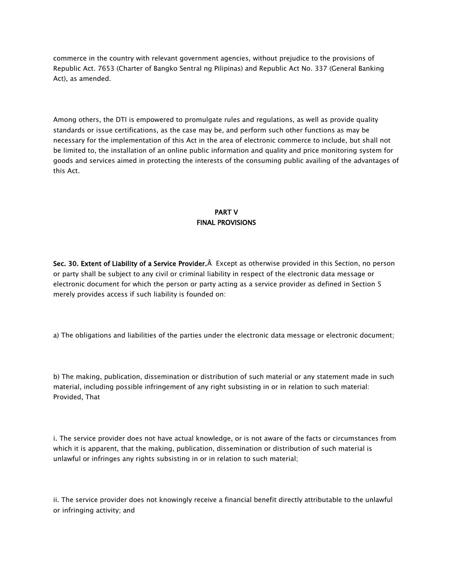commerce in the country with relevant government agencies, without prejudice to the provisions of Republic Act. 7653 (Charter of Bangko Sentral ng Pilipinas) and Republic Act No. 337 (General Banking Act), as amended.

Among others, the DTI is empowered to promulgate rules and regulations, as well as provide quality standards or issue certifications, as the case may be, and perform such other functions as may be necessary for the implementation of this Act in the area of electronic commerce to include, but shall not be limited to, the installation of an online public information and quality and price monitoring system for goods and services aimed in protecting the interests of the consuming public availing of the advantages of this Act.

# PART V FINAL PROVISIONS

Sec. 30. Extent of Liability of a Service Provider. Â Except as otherwise provided in this Section, no person or party shall be subject to any civil or criminal liability in respect of the electronic data message or electronic document for which the person or party acting as a service provider as defined in Section 5 merely provides access if such liability is founded on:

a) The obligations and liabilities of the parties under the electronic data message or electronic document;

b) The making, publication, dissemination or distribution of such material or any statement made in such material, including possible infringement of any right subsisting in or in relation to such material: Provided, That

i. The service provider does not have actual knowledge, or is not aware of the facts or circumstances from which it is apparent, that the making, publication, dissemination or distribution of such material is unlawful or infringes any rights subsisting in or in relation to such material;

ii. The service provider does not knowingly receive a financial benefit directly attributable to the unlawful or infringing activity; and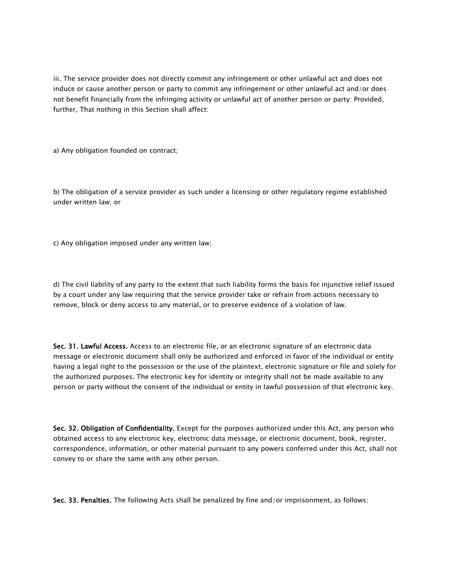iii. The service provider does not directly commit any infringement or other unlawful act and does not induce or cause another person or party to commit any infringement or other unlawful act and/or does not benefit financially from the infringing activity or unlawful act of another person or party: Provided, further, That nothing in this Section shall affect:

a) Any obligation founded on contract;

b) The obligation of a service provider as such under a licensing or other regulatory regime established under written law; or

c) Any obligation imposed under any written law;

d) The civil liability of any party to the extent that such liability forms the basis for injunctive relief issued by a court under any law requiring that the service provider take or refrain from actions necessary to remove, block or deny access to any material, or to preserve evidence of a violation of law.

Sec. 31. Lawful Access. Access to an electronic file, or an electronic signature of an electronic data message or electronic document shall only be authorized and enforced in favor of the individual or entity having a legal right to the possession or the use of the plaintext, electronic signature or file and solely for the authorized purposes. The electronic key for identity or integrity shall not be made available to any person or party without the consent of the individual or entity in lawful possession of that electronic key.

Sec. 32. Obligation of Confidentiality. Except for the purposes authorized under this Act, any person who obtained access to any electronic key, electronic data message, or electronic document, book, register, correspondence, information, or other material pursuant to any powers conferred under this Act, shall not convey to or share the same with any other person.

Sec. 33. Penalties. The following Acts shall be penalized by fine and/or imprisonment, as follows: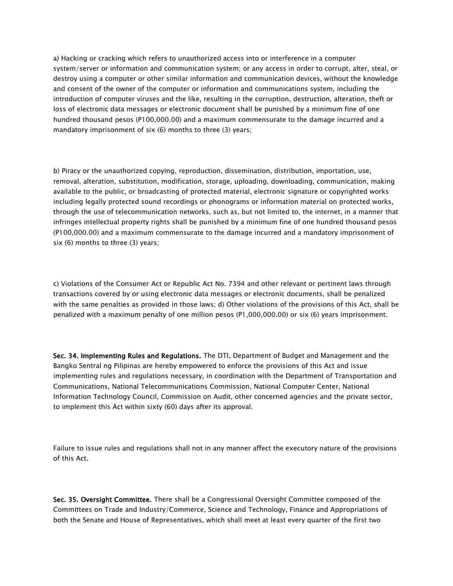a) Hacking or cracking which refers to unauthorized access into or interference in a computer system/server or information and communication system; or any access in order to corrupt, alter, steal, or destroy using a computer or other similar information and communication devices, without the knowledge and consent of the owner of the computer or information and communications system, including the introduction of computer viruses and the like, resulting in the corruption, destruction, alteration, theft or loss of electronic data messages or electronic document shall be punished by a minimum fine of one hundred thousand pesos (P100,000.00) and a maximum commensurate to the damage incurred and a mandatory imprisonment of six (6) months to three (3) years;

b) Piracy or the unauthorized copying, reproduction, dissemination, distribution, importation, use, removal, alteration, substitution, modification, storage, uploading, downloading, communication, making available to the public, or broadcasting of protected material, electronic signature or copyrighted works including legally protected sound recordings or phonograms or information material on protected works, through the use of telecommunication networks, such as, but not limited to, the internet, in a manner that infringes intellectual property rights shall be punished by a minimum fine of one hundred thousand pesos (P100,000.00) and a maximum commensurate to the damage incurred and a mandatory imprisonment of six (6) months to three (3) years;

c) Violations of the Consumer Act or Republic Act No. 7394 and other relevant or pertinent laws through transactions covered by or using electronic data messages or electronic documents, shall be penalized with the same penalties as provided in those laws; d) Other violations of the provisions of this Act, shall be penalized with a maximum penalty of one million pesos (P1,000,000.00) or six (6) years imprisonment.

Sec. 34. Implementing Rules and Regulations. The DTI, Department of Budget and Management and the Bangko Sentral ng Pilipinas are hereby empowered to enforce the provisions of this Act and issue implementing rules and regulations necessary, in coordination with the Department of Transportation and Communications, National Telecommunications Commission, National Computer Center, National Information Technology Council, Commission on Audit, other concerned agencies and the private sector, to implement this Act within sixty (60) days after its approval.

Failure to issue rules and regulations shall not in any manner affect the executory nature of the provisions of this Act.

Sec. 35. Oversight Committee. There shall be a Congressional Oversight Committee composed of the Committees on Trade and Industry/Commerce, Science and Technology, Finance and Appropriations of both the Senate and House of Representatives, which shall meet at least every quarter of the first two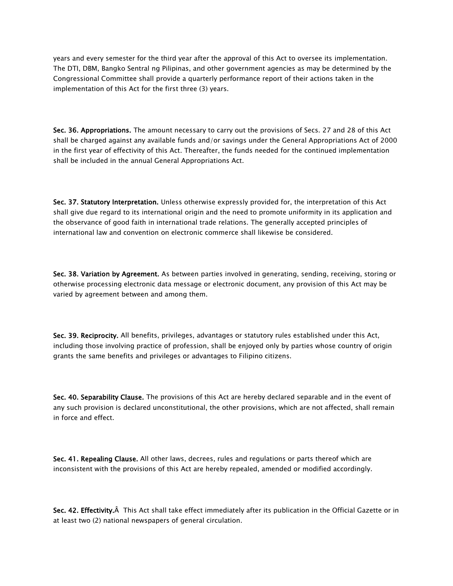years and every semester for the third year after the approval of this Act to oversee its implementation. The DTI, DBM, Bangko Sentral ng Pilipinas, and other government agencies as may be determined by the Congressional Committee shall provide a quarterly performance report of their actions taken in the implementation of this Act for the first three (3) years.

Sec. 36. Appropriations. The amount necessary to carry out the provisions of Secs. 27 and 28 of this Act shall be charged against any available funds and/or savings under the General Appropriations Act of 2000 in the first year of effectivity of this Act. Thereafter, the funds needed for the continued implementation shall be included in the annual General Appropriations Act.

Sec. 37. Statutory Interpretation. Unless otherwise expressly provided for, the interpretation of this Act shall give due regard to its international origin and the need to promote uniformity in its application and the observance of good faith in international trade relations. The generally accepted principles of international law and convention on electronic commerce shall likewise be considered.

Sec. 38. Variation by Agreement. As between parties involved in generating, sending, receiving, storing or otherwise processing electronic data message or electronic document, any provision of this Act may be varied by agreement between and among them.

Sec. 39. Reciprocity. All benefits, privileges, advantages or statutory rules established under this Act, including those involving practice of profession, shall be enjoyed only by parties whose country of origin grants the same benefits and privileges or advantages to Filipino citizens.

Sec. 40. Separability Clause. The provisions of this Act are hereby declared separable and in the event of any such provision is declared unconstitutional, the other provisions, which are not affected, shall remain in force and effect.

Sec. 41. Repealing Clause. All other laws, decrees, rules and regulations or parts thereof which are inconsistent with the provisions of this Act are hereby repealed, amended or modified accordingly.

Sec. 42. Effectivity. A This Act shall take effect immediately after its publication in the Official Gazette or in at least two (2) national newspapers of general circulation.